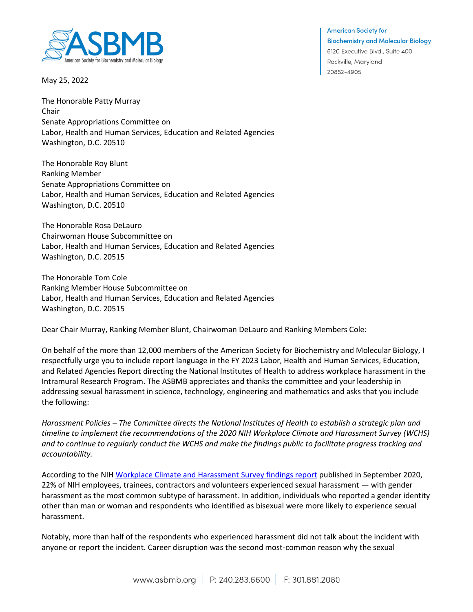

May 25, 2022

**American Society for Biochemistry and Molecular Biology** 6120 Executive Blvd., Suite 400 Rockville, Maryland 20852-4905

The Honorable Patty Murray Chair Senate Appropriations Committee on Labor, Health and Human Services, Education and Related Agencies Washington, D.C. 20510

The Honorable Roy Blunt Ranking Member Senate Appropriations Committee on Labor, Health and Human Services, Education and Related Agencies Washington, D.C. 20510

The Honorable Rosa DeLauro Chairwoman House Subcommittee on Labor, Health and Human Services, Education and Related Agencies Washington, D.C. 20515

The Honorable Tom Cole Ranking Member House Subcommittee on Labor, Health and Human Services, Education and Related Agencies Washington, D.C. 20515

Dear Chair Murray, Ranking Member Blunt, Chairwoman DeLauro and Ranking Members Cole:

On behalf of the more than 12,000 members of the American Society for Biochemistry and Molecular Biology, I respectfully urge you to include report language in the FY 2023 Labor, Health and Human Services, Education, and Related Agencies Report directing the National Institutes of Health to address workplace harassment in the Intramural Research Program. The ASBMB appreciates and thanks the committee and your leadership in addressing sexual harassment in science, technology, engineering and mathematics and asks that you include the following:

*Harassment Policies – The Committee directs the National Institutes of Health to establish a strategic plan and timeline to implement the recommendations of the 2020 NIH Workplace Climate and Harassment Survey (WCHS) and to continue to regularly conduct the WCHS and make the findings public to facilitate progress tracking and accountability.* 

According to the NI[H Workplace Climate and Harassment Survey findings report](https://diversity.nih.gov/sites/coswd/files/images/docs/NIH_Workplace_Climate_and_Harassment_Survey_Executive_Report_508.pdf) published in September 2020, 22% of NIH employees, trainees, contractors and volunteers experienced sexual harassment — with gender harassment as the most common subtype of harassment. In addition, individuals who reported a gender identity other than man or woman and respondents who identified as bisexual were more likely to experience sexual harassment.

Notably, more than half of the respondents who experienced harassment did not talk about the incident with anyone or report the incident. Career disruption was the second most-common reason why the sexual